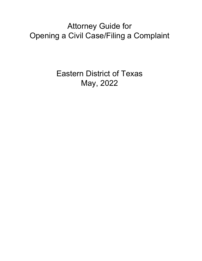Attorney Guide for Opening a Civil Case/Filing a Complaint

> Eastern District of Texas May, 2022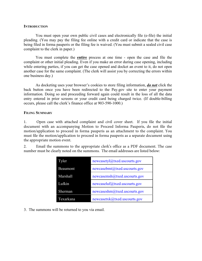#### **INTRODUCTION**

You must open your own public civil cases and electronically file (e-file) the initial pleading. (You may pay the filing fee online with a credit card or indicate that the case is being filed in forma pauperis or the filing fee is waived. (You must submit a sealed civil case complaint to the clerk in paper.)

You must complete the **entire** process at one time - open the case and file the complaint or other initial pleading. Even if you make an error during case opening, including while entering parties, if you can get the case opened and docket an event to it, do not open another case for the same complaint. (The clerk will assist you by correcting the errors within one business day.)

As docketing uses your browser's cookies to store filing information, *do not* click the back button once you have been redirected to the Pay.gov site to enter your payment information. Doing so and proceeding forward again could result in the loss of all the data entry entered in prior screens or your credit card being charged twice. (If double-billing occurs, please call the clerk's finance office at 903-590-1000.)

#### **FILING SUMMARY**

1. Open case with attached complaint and civil cover sheet. If you file the initial document with an accompanying Motion to Proceed Informa Pauperis, do not file the motion/application to proceed in forma pauperis as an attachment to the complaint. You must file the motion/application to proceed in forma pauperis as a separate document using the appropriate motion event.

2. Email the summons to the appropriate clerk's office as a PDF document. The case number must be clearly noted on the summons. The email addresses are listed below:

| Tyler     | newcasetyl@txed.uscourts.gov |
|-----------|------------------------------|
| Beaumont  | newcasebmt@txed.uscourts.gov |
| Marshall  | newcasemsh@txed.uscourts.gov |
| Lufkin    | newcaseluf@txed.uscourts.gov |
| Sherman   | newcaseshm@txed.uscourts.gov |
| Texarkana | newcasetxk@txed.uscourts.gov |

3. The summons will be returned to you via email.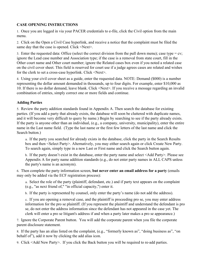# **CASE OPENING INSTRUCTIONS**

1. Once you are logged in via your PACER credentials to e-file, click the Civil option from the main menu.

2. Click on the Open a Civil Case hyperlink, and receive a notice that the complaint must be filed the same day that the case is opened. Click <Next>.

3. Enter the requested data: Office (select the correct division from the pull down menu); case type =  $cv$ ; ignore the Lead case number and Association type; if the case is a removal from state court, fill in the Other court name and Other court number; ignore the Related cases box even if you noted a related case on the civil cover sheet. This field is reserved for court use if a judge agrees cases are related and wishes for the clerk to set a cross-case hyperlink. Click <Next>.

4. Using your civil cover sheet as a guide, enter the requested data. NOTE: Demand (\$000) is a number representing the dollar amount demanded in thousands, up to four digits. For example, enter \$10,000 as 10. If there is no dollar demand, leave blank. Click <Next>. If you receive a message regarding an invalid combination of entries, simply correct one or more fields and continue.

# **Adding Parties**

5. Review the party addition standards found in Appendix A. Then search the database for existing parties. (If you add a party that already exists, the database will soon be cluttered with duplicate names, and it will become very difficult to query by name.) Begin by searching to see if the party already exists. If the party is anyone other than an individual, (e.g., a company, university, municipality), enter the entire name in the Last name field. (Type the last name or the first few letters of the last name and click the Search button.)

a. If the party you searched for already exists in the database, click the party in the Search Results box and then <Select Party>. Alternatively, you may either search again or click Create New Party. To search again, simply type in a new Last or First name and click the Search button again.

b. If the party doesn't exist in the database, enter the party name and select <Add Party>. Please see Appendix A for party name addition standards (e.g., do not enter party names in ALL CAPS unless the party's name is an acronym).

6. Then complete the party information screen, **but never enter an email address for a party** (emails may only be added via the ECF registration process):

a. Select the role of the party (plaintiff, defendant, etc.) and if party text appears on the complaint (e.g., "as next friend of," "in official capacity,") enter it.

b. If the party is represented by counsel, only enter the party's name (do not add the address).

c. If you are opening a removal case, and the plaintiff is proceeding pro se, you may enter address information for the pro se plaintiff. (If you represent the plaintiff and understand the defendant is pro se, do not enter the address information since the defendant has not appeared in the case yet. The clerk will enter a pro se litigant's address if and when a party later makes a pro se appearance.)

7. Ignore the Corporate Parent button. You will add the corporate parent when you file the corporate parent disclosure statement.

8. If the party has an alias listed on the complaint, (e.g., "formerly known as", "doing business as", "on behalf of"), add it now by clicking the add alias icon.

9. Click <Add New Party>. If you click the Back button you will be required to re-add parties.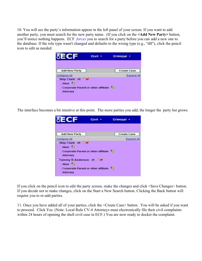10. You will see the party's information appear in the left panel of your screen. If you want to add another party, you must search for the new party name. (If you click on the **<Add New Party>** button, you'll notice nothing happens. ECF *forces* you to search for a party before you can add a new one to the database. If the role type wasn't changed and defaults to the wrong type (e.g., "dft"), click the pencil icon to edit as needed.



The interface becomes a bit intuitive at this point. The more parties you add, the longer the party list grows.

| <b>BECF</b>                                                                                                                                                                                        | Civil | Criminal +         |
|----------------------------------------------------------------------------------------------------------------------------------------------------------------------------------------------------|-------|--------------------|
|                                                                                                                                                                                                    |       |                    |
| <b>Add New Party</b>                                                                                                                                                                               |       | <b>Create Case</b> |
| Collapse All                                                                                                                                                                                       |       | Expand All         |
| Skip Clark dft.<br>Alias <sup>8</sup><br><b>Corporate Parent or other affiliate</b><br>Attorney<br>Tammy R Anderson dft /<br>Alias <sup>8</sup><br>Corporate Parent or other affiliate<br>Attorney |       | 15                 |

If you click on the pencil icon to edit the party screen, make the changes and click <Save Changes> button. If you decide not to make changes, click on the Start a New Search button. Clicking the Back button will require you to re-add parties.

11. Once you have added all of your parties, click the <Create Case> button. You will be asked if you want to proceed. Click Yes. (Note: Local Rule CV-4 Attorneys must electronically file their civil complaints within 24 hours of opening the shell civil case in ECF.) You are now ready to docket the complaint.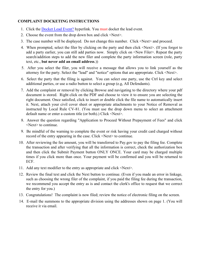# **COMPLAINT DOCKETING INSTRUCTIONS**

- 1. Click the Docket Lead Event? hyperlink. You must docket the lead event.
- 2. Choose the event from the drop down box and click <Next>.
- 3. The case number will be displayed. Do not change this number. Click <Next> and proceed.
- 4. When prompted, select the filer by clicking on the party and then click <Next>. (If you forgot to add a party earlier, you can still add parties now. Simply click on <New Filer>. Repeat the party search/addition steps to add the new filer and complete the party information screen (role, party text, etc., **but never add an email address**.))
- 5. After you select the filer, you will receive a message that allows you to link yourself as the attorney for the party. Select the "lead" and "notice" options that are appropriate. Click <Next>.
- 6. Select the party that the filing is against. You can select one party, use the Ctrl key and select additional parties, or use a radio button to select a group (e.g, All Defendants).
- 7. Add the complaint or removal by clicking Browse and navigating to the directory where your pdf document is stored. Right click on the PDF and choose to view it to ensure you are selecting the right document. Once satisfied, click to insert or double click the file name to automatically insert it. Next, attach your civil cover sheet or appropriate attachments to your Notice of Removal as instructed by Local Rule CV-81. (You must use the drop down menu to select an attachment default name or enter a custom title (or both).) Click <Next>.
- 8. Answer the question regarding "Application to Proceed Without Prepayment of Fees" and click <Next> to continue.
- 9. Be mindful of the warning to complete the event or risk having your credit card charged without record of the entry appearing in the case. Click <Next> to continue.
- 10. After reviewing the fee amount, you will be transferred to Pay.gov to pay the filing fee. Complete the transaction and after verifying that all the information is correct, check the authorization box and then click the Submit Payment button ONLY ONCE. Your card may be charged multiple times if you click more than once. Your payment will be confirmed and you will be returned to ECF.
- 11. Add any text modifier to the entry as appropriate and click <Next>.
- 12. Review the final text and click the Next button to continue. (Even if you made an error in linkage, such as choosing the wrong filer of the complaint, if you paid the filing fee during the transaction, we recommend you accept the entry as is and contact the clerk's office to request that we correct the entry for you.)
- 13. Congratulations! The complaint is now filed; review the notice of electronic filing on the screen.
- 14. E-mail the summons to the appropriate division using the addresses shown on page 1. (You will receive it via email.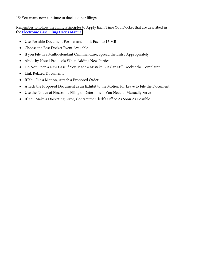15: You many now continue to docket other filings.

Remember to follow the Filing Principles to Apply Each Time You Docket that are described in the **Electronic Case Filing User's Manual:**

- Use Portable Document Format and Limit Each to 15 MB
- Choose the Best Docket Event Available
- If you File in a Multidefendant Criminal Case, Spread the Entry Appropriately
- Abide by Noted Protocols When Adding New Parties
- Do Not Open a New Case if You Made a Mistake But Can Still Docket the Complaint
- Link Related Documents
- If You File a Motion, Attach a Proposed Order
- Attach the Proposed Document as an Exhibit to the Motion for Leave to File the Document
- Use the Notice of Electronic Filing to Determine if You Need to Manually Serve
- If You Make a Docketing Error, Contact the Clerk's Office As Soon As Possible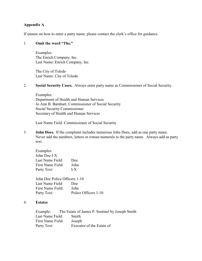## **Appendix A**

If unsure on how to enter a party name, please contact the clerk's office for guidance.

#### 1. **Omit the word "The."**

Examples: The Enrich Company, Inc. Last Name: Enrich Company, Inc.

The City of Toledo Last Name: City of Toledo

#### 2. **Social Security Cases.** Always enter party name as Commissioner of Social Security.

Examples: Department of Health and Human Services Jo Ann B. Barnhart, Commissioner of Social Security Social Security Commissioner Secretary of Health and Human Services

Last Name Field: Commissioner of Social Security

3. **John Does.** If the complaint includes numerous John Does, add as one party name. Never add the numbers, letters or roman numerals to the party name. Always add as party text.

| Doe  |
|------|
| John |
| LX   |
|      |

John Doe Police Officers 1-10 Last Name Field: Doe First Name Field: John Party Text: Police Officers 1-10

### 4. **Estates**

Example: The Estate of James P. Sentinel by Joseph Smith Last Name Field: Smith First Name Field: Joseph Party Text: Executor of the Estate of